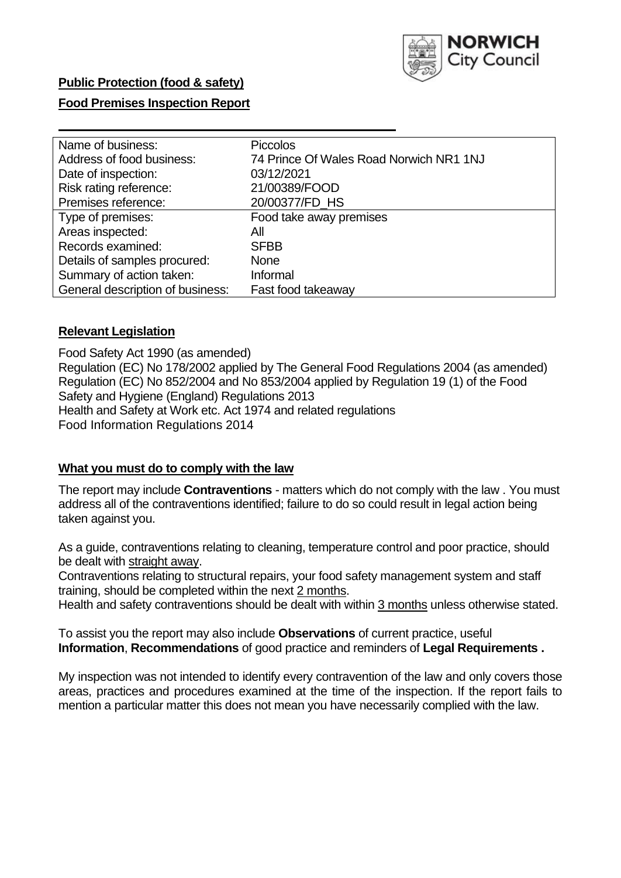

### **Public Protection (food & safety)**

### **Food Premises Inspection Report**

| Name of business:                | <b>Piccolos</b>                         |
|----------------------------------|-----------------------------------------|
| Address of food business:        | 74 Prince Of Wales Road Norwich NR1 1NJ |
| Date of inspection:              | 03/12/2021                              |
| Risk rating reference:           | 21/00389/FOOD                           |
| Premises reference:              | 20/00377/FD_HS                          |
| Type of premises:                | Food take away premises                 |
| Areas inspected:                 | All                                     |
| Records examined:                | <b>SFBB</b>                             |
| Details of samples procured:     | <b>None</b>                             |
| Summary of action taken:         | Informal                                |
| General description of business: | Fast food takeaway                      |

### **Relevant Legislation**

 Food Safety Act 1990 (as amended) Regulation (EC) No 178/2002 applied by The General Food Regulations 2004 (as amended) Regulation (EC) No 852/2004 and No 853/2004 applied by Regulation 19 (1) of the Food Safety and Hygiene (England) Regulations 2013 Health and Safety at Work etc. Act 1974 and related regulations Food Information Regulations 2014

#### **What you must do to comply with the law**

 The report may include **Contraventions** - matters which do not comply with the law . You must address all of the contraventions identified; failure to do so could result in legal action being taken against you.

 As a guide, contraventions relating to cleaning, temperature control and poor practice, should be dealt with straight away.

 Contraventions relating to structural repairs, your food safety management system and staff training, should be completed within the next 2 months.

Health and safety contraventions should be dealt with within 3 months unless otherwise stated.

 To assist you the report may also include **Observations** of current practice, useful **Information**, **Recommendations** of good practice and reminders of **Legal Requirements .** 

 My inspection was not intended to identify every contravention of the law and only covers those areas, practices and procedures examined at the time of the inspection. If the report fails to mention a particular matter this does not mean you have necessarily complied with the law.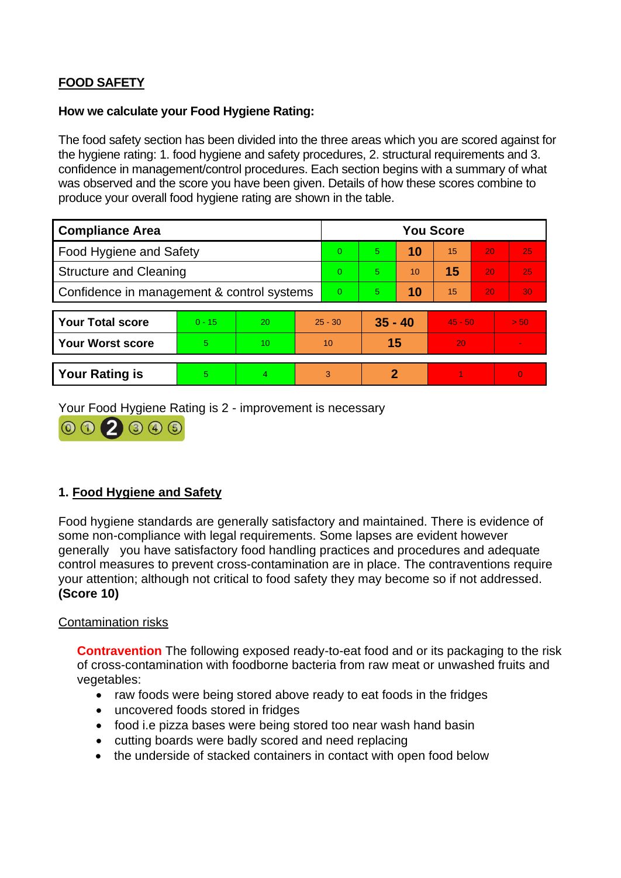# **FOOD SAFETY**

#### **How we calculate your Food Hygiene Rating:**

 The food safety section has been divided into the three areas which you are scored against for the hygiene rating: 1. food hygiene and safety procedures, 2. structural requirements and 3. confidence in management/control procedures. Each section begins with a summary of what was observed and the score you have been given. Details of how these scores combine to produce your overall food hygiene rating are shown in the table.

| <b>Compliance Area</b>                     |          |                  |                | <b>You Score</b> |                |    |           |    |                |  |  |
|--------------------------------------------|----------|------------------|----------------|------------------|----------------|----|-----------|----|----------------|--|--|
| Food Hygiene and Safety                    |          |                  |                | $\Omega$         | $\overline{5}$ | 10 | 15        | 20 | 25             |  |  |
| <b>Structure and Cleaning</b>              |          |                  | $\Omega$       | 5                | 10             | 15 | 20        | 25 |                |  |  |
| Confidence in management & control systems |          |                  | $\overline{0}$ | 5                | 10             | 15 | 20        | 30 |                |  |  |
|                                            |          |                  |                |                  |                |    |           |    |                |  |  |
| <b>Your Total score</b>                    | $0 - 15$ | 20               |                | $25 - 30$        | $35 - 40$      |    | $45 - 50$ |    | > 50           |  |  |
| <b>Your Worst score</b>                    | 5        | 10 <sup>10</sup> |                | 10               | 15             |    | 20        |    | $\sim$         |  |  |
|                                            |          |                  |                |                  |                |    |           |    |                |  |  |
| <b>Your Rating is</b>                      | 5        | 4                |                | 3                | 2              |    |           |    | $\overline{0}$ |  |  |

Your Food Hygiene Rating is 2 - improvement is necessary



# **1. Food Hygiene and Safety**

 generally you have satisfactory food handling practices and procedures and adequate Food hygiene standards are generally satisfactory and maintained. There is evidence of some non-compliance with legal requirements. Some lapses are evident however control measures to prevent cross-contamination are in place. The contraventions require your attention; although not critical to food safety they may become so if not addressed. **(Score 10)** 

### Contamination risks

**Contravention** The following exposed ready-to-eat food and or its packaging to the risk of cross-contamination with foodborne bacteria from raw meat or unwashed fruits and vegetables:

- raw foods were being stored above ready to eat foods in the fridges
- uncovered foods stored in fridges
- food i.e pizza bases were being stored too near wash hand basin
- cutting boards were badly scored and need replacing
- the underside of stacked containers in contact with open food below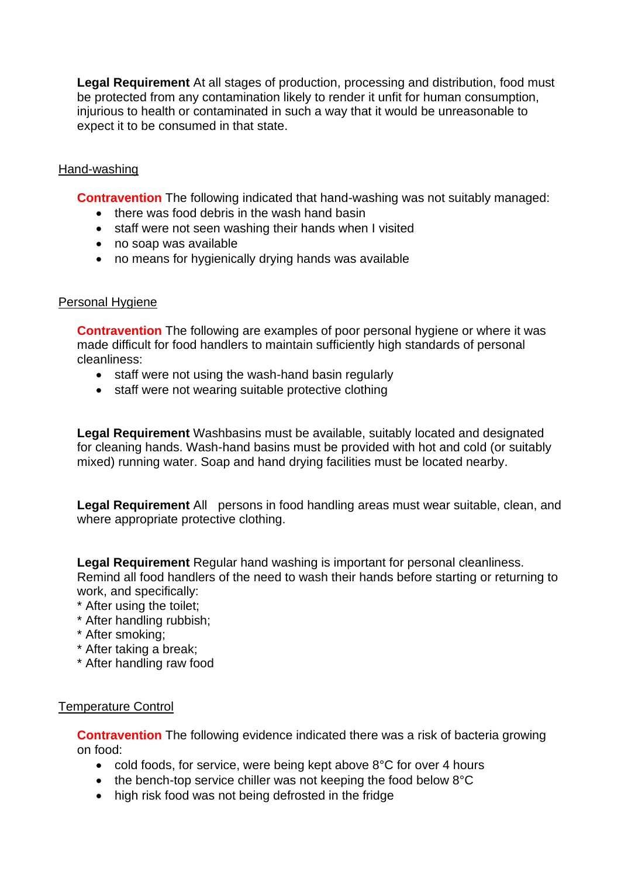injurious to health or contaminated in such a way that it would be unreasonable to **Legal Requirement** At all stages of production, processing and distribution, food must be protected from any contamination likely to render it unfit for human consumption, expect it to be consumed in that state.

### Hand-washing

**Contravention** The following indicated that hand-washing was not suitably managed:

- there was food debris in the wash hand basin
- staff were not seen washing their hands when I visited
- no soap was available
- no means for hygienically drying hands was available

### Personal Hygiene

 made difficult for food handlers to maintain sufficiently high standards of personal **Contravention** The following are examples of poor personal hygiene or where it was cleanliness:

- staff were not using the wash-hand basin regularly
- staff were not wearing suitable protective clothing

 **Legal Requirement** Washbasins must be available, suitably located and designated for cleaning hands. Wash-hand basins must be provided with hot and cold (or suitably mixed) running water. Soap and hand drying facilities must be located nearby.

 **Legal Requirement** All persons in food handling areas must wear suitable, clean, and where appropriate protective clothing.

**Legal Requirement** Regular hand washing is important for personal cleanliness. Remind all food handlers of the need to wash their hands before starting or returning to work, and specifically:

- \* After using the toilet;
- \* After handling rubbish;
- \* After smoking;
- \* After taking a break;
- \* After handling raw food

### Temperature Control

 **Contravention** The following evidence indicated there was a risk of bacteria growing on food:

- cold foods, for service, were being kept above 8°C for over 4 hours
- the bench-top service chiller was not keeping the food below 8°C
- high risk food was not being defrosted in the fridge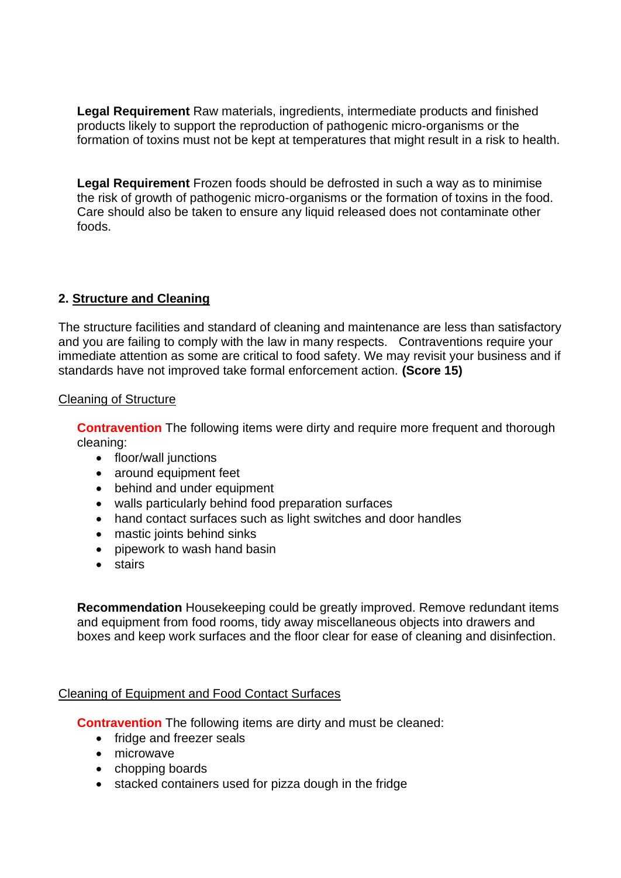**Legal Requirement** Raw materials, ingredients, intermediate products and finished products likely to support the reproduction of pathogenic micro-organisms or the formation of toxins must not be kept at temperatures that might result in a risk to health.

**Legal Requirement** Frozen foods should be defrosted in such a way as to minimise the risk of growth of pathogenic micro-organisms or the formation of toxins in the food. Care should also be taken to ensure any liquid released does not contaminate other foods.

# **2. Structure and Cleaning**

 and you are failing to comply with the law in many respects. Contraventions require your The structure facilities and standard of cleaning and maintenance are less than satisfactory immediate attention as some are critical to food safety. We may revisit your business and if standards have not improved take formal enforcement action. **(Score 15)** 

### Cleaning of Structure

**Contravention** The following items were dirty and require more frequent and thorough cleaning:

- floor/wall junctions
- around equipment feet
- behind and under equipment
- walls particularly behind food preparation surfaces
- hand contact surfaces such as light switches and door handles
- mastic joints behind sinks
- pipework to wash hand basin
- stairs

**Recommendation** Housekeeping could be greatly improved. Remove redundant items and equipment from food rooms, tidy away miscellaneous objects into drawers and boxes and keep work surfaces and the floor clear for ease of cleaning and disinfection.

# Cleaning of Equipment and Food Contact Surfaces

**Contravention** The following items are dirty and must be cleaned:

- fridge and freezer seals
- microwave
- chopping boards
- stacked containers used for pizza dough in the fridge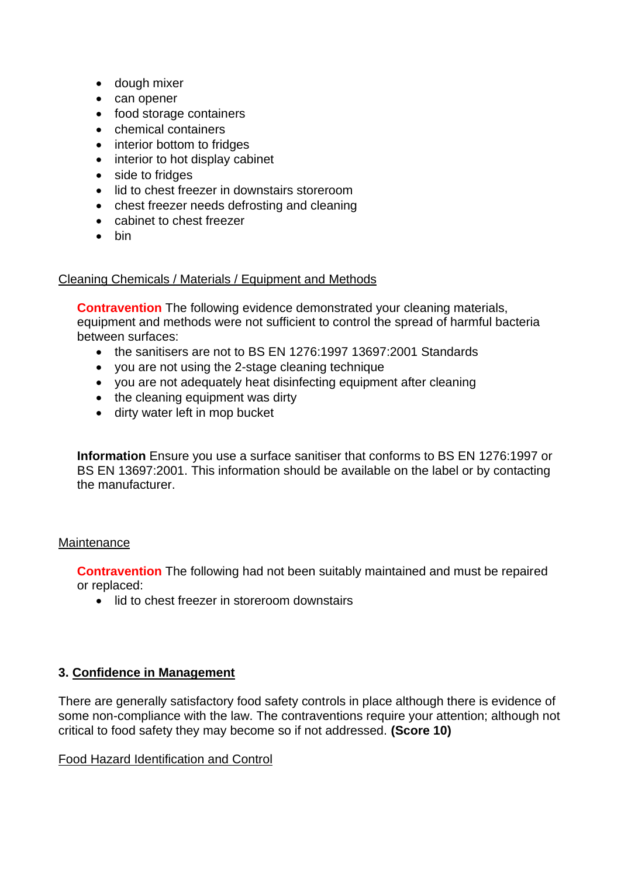- dough mixer
- can opener
- food storage containers
- chemical containers
- interior bottom to fridges
- interior to hot display cabinet
- side to fridges
- lid to chest freezer in downstairs storeroom
- chest freezer needs defrosting and cleaning
- cabinet to chest freezer
- bin

# Cleaning Chemicals / Materials / Equipment and Methods

**Contravention** The following evidence demonstrated your cleaning materials, equipment and methods were not sufficient to control the spread of harmful bacteria between surfaces:

- the sanitisers are not to BS EN 1276:1997 13697:2001 Standards
- you are not using the 2-stage cleaning technique
- vou are not adequately heat disinfecting equipment after cleaning
- the cleaning equipment was dirty
- dirty water left in mop bucket

**Information** Ensure you use a surface sanitiser that conforms to BS EN 1276:1997 or BS EN 13697:2001. This information should be available on the label or by contacting the manufacturer.

# **Maintenance**

**Contravention** The following had not been suitably maintained and must be repaired or replaced:

• lid to chest freezer in storeroom downstairs

# **3. Confidence in Management**

 There are generally satisfactory food safety controls in place although there is evidence of some non-compliance with the law. The contraventions require your attention; although not critical to food safety they may become so if not addressed. **(Score 10)** 

# Food Hazard Identification and Control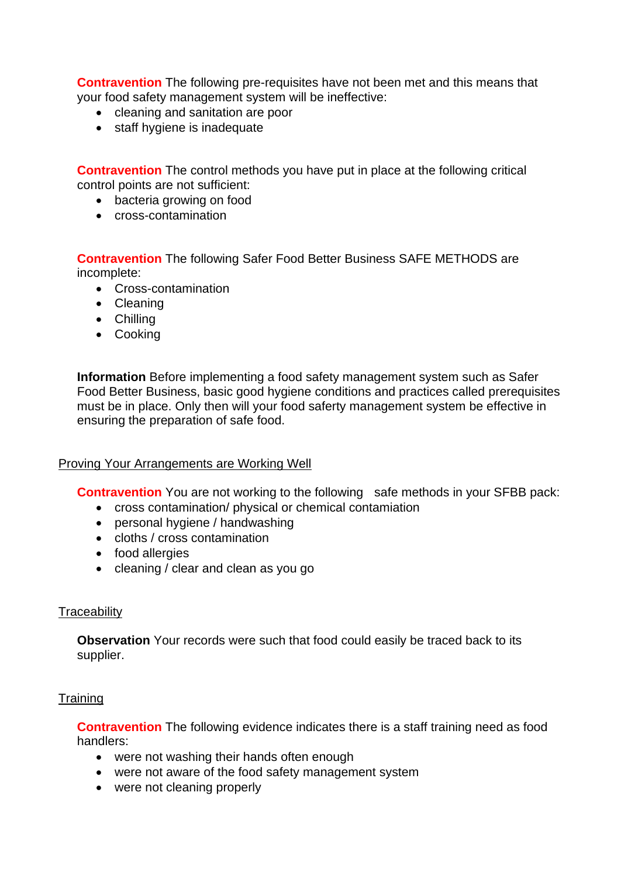**Contravention** The following pre-requisites have not been met and this means that your food safety management system will be ineffective:

- cleaning and sanitation are poor
- staff hygiene is inadequate

 **Contravention** The control methods you have put in place at the following critical control points are not sufficient:

- bacteria growing on food
- cross-contamination

**Contravention** The following Safer Food Better Business SAFE METHODS are incomplete:

- Cross-contamination
- Cleaning
- Chilling
- Cooking

**Information** Before implementing a food safety management system such as Safer Food Better Business, basic good hygiene conditions and practices called prerequisites must be in place. Only then will your food saferty management system be effective in ensuring the preparation of safe food.

### Proving Your Arrangements are Working Well

**Contravention** You are not working to the following safe methods in your SFBB pack:

- cross contamination/ physical or chemical contamiation
- personal hygiene / handwashing
- cloths / cross contamination
- food allergies
- cleaning / clear and clean as you go

### **Traceability**

**Observation** Your records were such that food could easily be traced back to its supplier.

### **Training**

 **Contravention** The following evidence indicates there is a staff training need as food handlers:

- were not washing their hands often enough
- were not aware of the food safety management system
- were not cleaning properly